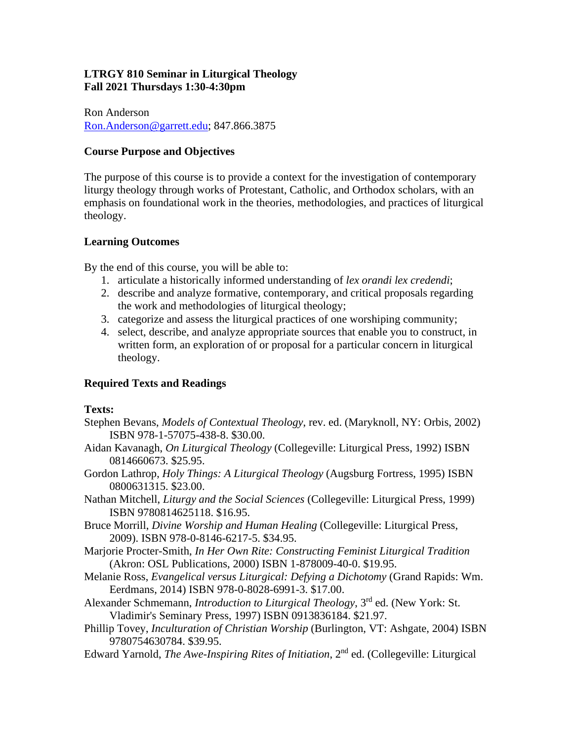# **LTRGY 810 Seminar in Liturgical Theology Fall 2021 Thursdays 1:30-4:30pm**

Ron Anderson Ron.Anderson@garrett.edu; 847.866.3875

# **Course Purpose and Objectives**

The purpose of this course is to provide a context for the investigation of contemporary liturgy theology through works of Protestant, Catholic, and Orthodox scholars, with an emphasis on foundational work in the theories, methodologies, and practices of liturgical theology.

# **Learning Outcomes**

By the end of this course, you will be able to:

- 1. articulate a historically informed understanding of *lex orandi lex credendi*;
- 2. describe and analyze formative, contemporary, and critical proposals regarding the work and methodologies of liturgical theology;
- 3. categorize and assess the liturgical practices of one worshiping community;
- 4. select, describe, and analyze appropriate sources that enable you to construct, in written form, an exploration of or proposal for a particular concern in liturgical theology.

# **Required Texts and Readings**

### **Texts:**

- Stephen Bevans, *Models of Contextual Theology*, rev. ed. (Maryknoll, NY: Orbis, 2002) ISBN 978-1-57075-438-8. \$30.00.
- Aidan Kavanagh, *On Liturgical Theology* (Collegeville: Liturgical Press, 1992) ISBN 0814660673. \$25.95.
- Gordon Lathrop, *Holy Things: A Liturgical Theology* (Augsburg Fortress, 1995) ISBN 0800631315. \$23.00.
- Nathan Mitchell, *Liturgy and the Social Sciences* (Collegeville: Liturgical Press, 1999) ISBN 9780814625118. \$16.95.
- Bruce Morrill, *Divine Worship and Human Healing* (Collegeville: Liturgical Press, 2009). ISBN 978-0-8146-6217-5. \$34.95.
- Marjorie Procter-Smith, *In Her Own Rite: Constructing Feminist Liturgical Tradition*  (Akron: OSL Publications, 2000) ISBN 1-878009-40-0. \$19.95.
- Melanie Ross, *Evangelical versus Liturgical: Defying a Dichotomy* (Grand Rapids: Wm. Eerdmans, 2014) ISBN 978-0-8028-6991-3. \$17.00.
- Alexander Schmemann, *Introduction to Liturgical Theology*, 3rd ed. (New York: St. Vladimir's Seminary Press, 1997) ISBN 0913836184. \$21.97.
- Phillip Tovey, *Inculturation of Christian Worship* (Burlington, VT: Ashgate, 2004) ISBN 9780754630784. \$39.95.
- Edward Yarnold, *The Awe-Inspiring Rites of Initiation*, 2nd ed. (Collegeville: Liturgical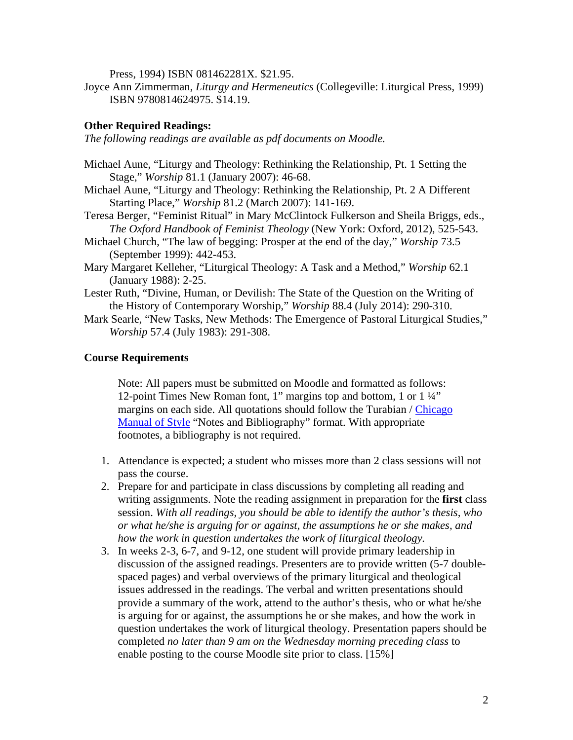Press, 1994) ISBN 081462281X. \$21.95.

Joyce Ann Zimmerman, *Liturgy and Hermeneutics* (Collegeville: Liturgical Press, 1999) ISBN 9780814624975. \$14.19.

#### **Other Required Readings:**

*The following readings are available as pdf documents on Moodle.* 

- Michael Aune, "Liturgy and Theology: Rethinking the Relationship, Pt. 1 Setting the Stage," *Worship* 81.1 (January 2007): 46-68.
- Michael Aune, "Liturgy and Theology: Rethinking the Relationship, Pt. 2 A Different Starting Place," *Worship* 81.2 (March 2007): 141-169.
- Teresa Berger, "Feminist Ritual" in Mary McClintock Fulkerson and Sheila Briggs, eds., *The Oxford Handbook of Feminist Theology* (New York: Oxford, 2012), 525-543.
- Michael Church, "The law of begging: Prosper at the end of the day," *Worship* 73.5 (September 1999): 442-453.
- Mary Margaret Kelleher, "Liturgical Theology: A Task and a Method," *Worship* 62.1 (January 1988): 2-25.
- Lester Ruth, "Divine, Human, or Devilish: The State of the Question on the Writing of the History of Contemporary Worship," *Worship* 88.4 (July 2014): 290-310.
- Mark Searle, "New Tasks, New Methods: The Emergence of Pastoral Liturgical Studies," *Worship* 57.4 (July 1983): 291-308.

#### **Course Requirements**

Note: All papers must be submitted on Moodle and formatted as follows: 12-point Times New Roman font, 1" margins top and bottom, 1 or 1 ¼" margins on each side. All quotations should follow the Turabian / Chicago Manual of Style "Notes and Bibliography" format. With appropriate footnotes, a bibliography is not required.

- 1. Attendance is expected; a student who misses more than 2 class sessions will not pass the course.
- 2. Prepare for and participate in class discussions by completing all reading and writing assignments. Note the reading assignment in preparation for the **first** class session. *With all readings, you should be able to identify the author's thesis, who or what he/she is arguing for or against, the assumptions he or she makes, and how the work in question undertakes the work of liturgical theology.*
- 3. In weeks 2-3, 6-7, and 9-12, one student will provide primary leadership in discussion of the assigned readings. Presenters are to provide written (5-7 doublespaced pages) and verbal overviews of the primary liturgical and theological issues addressed in the readings. The verbal and written presentations should provide a summary of the work, attend to the author's thesis, who or what he/she is arguing for or against, the assumptions he or she makes, and how the work in question undertakes the work of liturgical theology. Presentation papers should be completed *no later than 9 am on the Wednesday morning preceding class* to enable posting to the course Moodle site prior to class. [15%]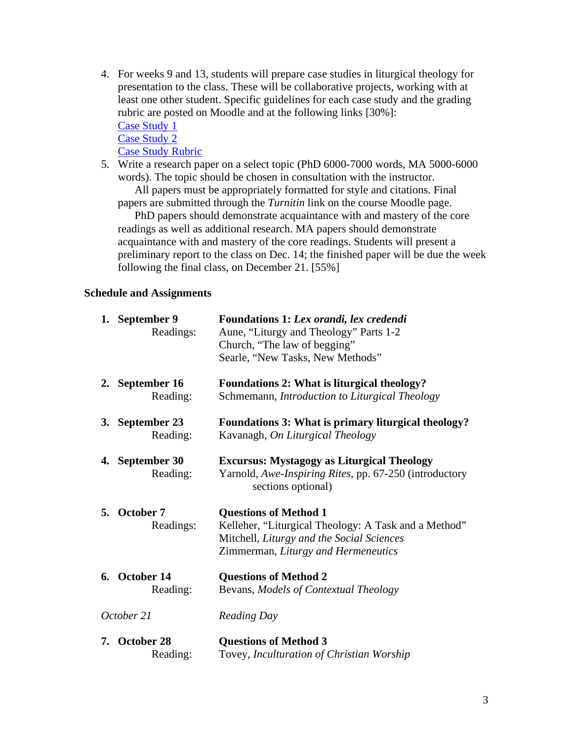- 4. For weeks 9 and 13, students will prepare case studies in liturgical theology for presentation to the class. These will be collaborative projects, working with at least one other student. Specific guidelines for each case study and the grading rubric are posted on Moodle and at the following links [30%]: Case Study 1 Case Study 2 Case Study Rubric
- 5. Write a research paper on a select topic (PhD 6000-7000 words, MA 5000-6000 words). The topic should be chosen in consultation with the instructor.

All papers must be appropriately formatted for style and citations. Final papers are submitted through the *Turnitin* link on the course Moodle page.

PhD papers should demonstrate acquaintance with and mastery of the core readings as well as additional research. MA papers should demonstrate acquaintance with and mastery of the core readings. Students will present a preliminary report to the class on Dec. 14; the finished paper will be due the week following the final class, on December 21. [55%]

## **Schedule and Assignments**

|            | 1. September 9<br>Readings: | Foundations 1: Lex orandi, lex credendi<br>Aune, "Liturgy and Theology" Parts 1-2<br>Church, "The law of begging"<br>Searle, "New Tasks, New Methods"                    |
|------------|-----------------------------|--------------------------------------------------------------------------------------------------------------------------------------------------------------------------|
|            | 2. September 16<br>Reading: | <b>Foundations 2: What is liturgical theology?</b><br>Schmemann, Introduction to Liturgical Theology                                                                     |
|            | 3. September 23<br>Reading: | <b>Foundations 3: What is primary liturgical theology?</b><br>Kavanagh, On Liturgical Theology                                                                           |
|            | 4. September 30<br>Reading: | <b>Excursus: Mystagogy as Liturgical Theology</b><br>Yarnold, Awe-Inspiring Rites, pp. 67-250 (introductory<br>sections optional)                                        |
|            | 5. October 7<br>Readings:   | <b>Questions of Method 1</b><br>Kelleher, "Liturgical Theology: A Task and a Method"<br>Mitchell, Liturgy and the Social Sciences<br>Zimmerman, Liturgy and Hermeneutics |
|            | 6. October 14<br>Reading:   | <b>Questions of Method 2</b><br>Bevans, Models of Contextual Theology                                                                                                    |
| October 21 |                             | <b>Reading Day</b>                                                                                                                                                       |
|            | 7. October 28<br>Reading:   | <b>Questions of Method 3</b><br>Tovey, Inculturation of Christian Worship                                                                                                |